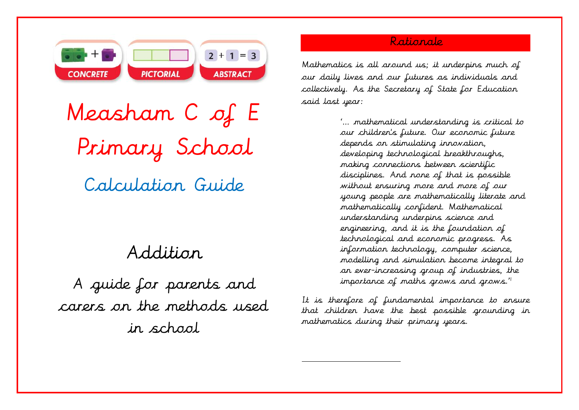

Measham C of E Primary School Calculation Guide

# Addition

A guide for parents and carers on the methods used in school

# Rationale

Mathematics is all around us; it underpins much of our daily lives and our futures as individuals and collectively. As the Secretary of State for Education said last year:

> '… mathematical understanding is critical to our children's future. Our economic future depends on stimulating innovation, developing technological breakthroughs, making connections between scientific disciplines. And none of that is possible without ensuring more and more of our young people are mathematically literate and mathematically confident. Mathematical understanding underpins science and engineering, and it is the foundation of technological and economic progress. As information technology, computer science, modelling and simulation become integral to an ever-increasing group of industries, the importance of maths grows and grows."

It is therefore of fundamental importance to ensure that children have the best possible grounding in mathematics during their primary years.

 $\overline{a}$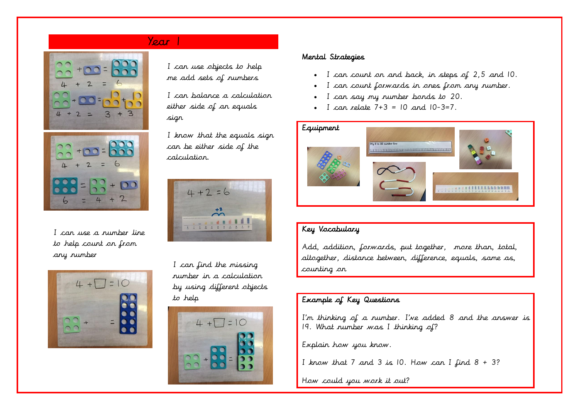# Year 1





I can use a number line to help count on from any number



I can use objects to help me add sets of numbers

I can balance a calculation either side of an equals sign

I know that the equals sign can be either side of the calculation.



I can find the missing number in a calculation by using different objects to help



#### Mental Strategies

- I can count on and back, in steps of 2,5 and 10.
- I can count forwards in ones from any number.
- I can say my number bonds to 20.
- I can relate  $7+3 = 10$  and  $10-3=7$ .



## Key Vocabulary

Add, addition, forwards, put together, more than, total, altogether, distance between, difference, equals, same as, counting on

# Example of Key Questions

I'm thinking of a number. I've added 8 and the answer is 19. What number was I thinking of?

Explain how you know.

I know that 7 and 3 is 10. How can I find  $8 + 3$ ?

How could you work it out?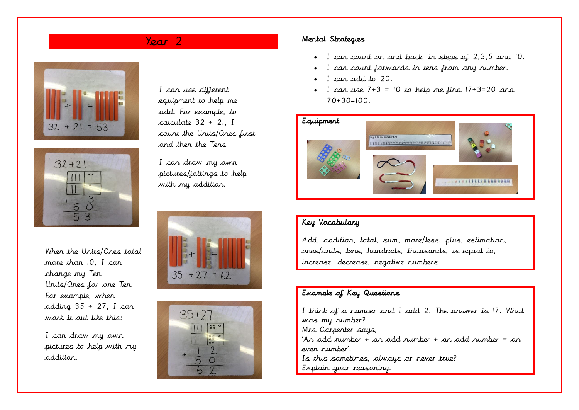



When the Units/Ones total more than 10, I can change my Ten Units/Ones for one Ten. For example, when adding  $35 + 27$ , I can work it out like this:

I can draw my own pictures to help with my addition.

I can use different equipment to help me add. For example, to calculate 32 + 21, I count the Units/Ones first and then the Tens

I can draw my own pictures/jottings to help with my addition.





# Year 2 Mental Strategies

- I can count on and back, in steps of 2,3,5 and 10.
- I can count forwards in tens from any number.
- I can add to 20.
- I can use  $7+3 = 10$  to help me find  $17+3=20$  and  $70+30=100$ .



# Key Vocabulary

Add, addition, total, sum, more/less, plus, estimation, ones/units, tens, hundreds, thousands, is equal to, increase, decrease, negative numbers

## Example of Key Questions

I think of a number and I add 2. The answer is 17. What was my number? Mrs Carpenter says, 'An odd number + an odd number + an odd number = an even number'. Is this sometimes, always or never true? Explain your reasoning.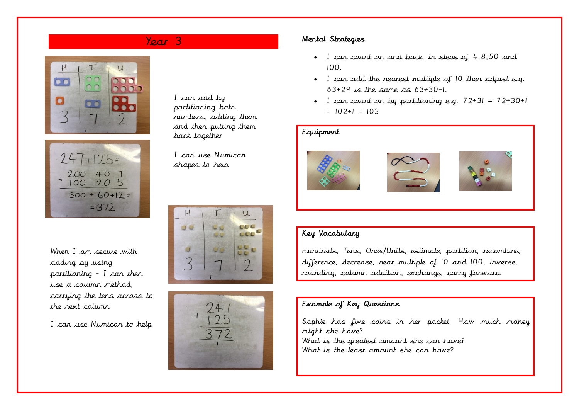



When I am secure with adding by using partitioning - I can then use a column method, carrying the tens across to the next column

I can use Numicon to help

### I can add by partitioning both numbers, adding them and then putting them back together

I can use Numicon shapes to help





# Year 3 Mental Strategies

- I can count on and back, in steps of 4,8,50 and 100.
- I can add the nearest multiple of 10 then adjust e.g. 63+29 is the same as 63+30–1.
- I can count on by partitioning e.g.  $72+31 = 72+30+1$  $= 102+1 = 103$

# Equipment







# Key Vocabulary

Hundreds, Tens, Ones/Units, estimate, partition, recombine, difference, decrease, near multiple of 10 and 100, inverse, rounding, column addition, exchange, carry forward

# Example of Key Questions

Sophie has five coins in her pocket. How much money might she have? What is the greatest amount she can have? What is the least amount she can have?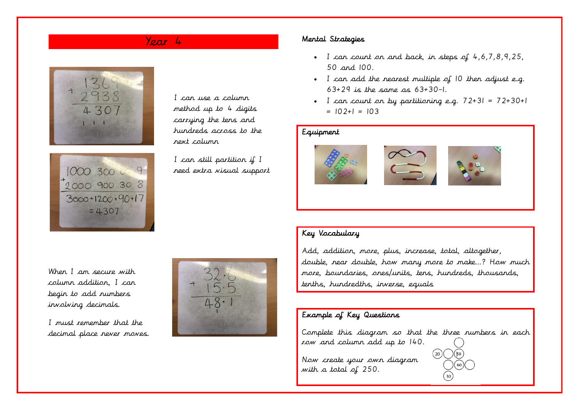



I can use a column method up to 4 digits carrying the tens and hundreds across to the next column

I can still partition if I need extra visual support

# Year 4 Mental Strategies

- I can count on and back, in steps of 4,6,7,8,9,25, 50 and 100.
- I can add the nearest multiple of 10 then adjust e.g. 63+29 is the same as 63+30–1.
- I can count on by partitioning e.g.  $72+31 = 72+30+1$  $= 102+1 = 103$

# Equipment







When I am secure with column addition, I can begin to add numbers involving decimals.

I must remember that the decimal place never moves.



# Key Vocabulary

Add, addition, more, plus, increase, total, altogether, double, near double, how many more to make…? How much more, boundaries, ones/units, tens, hundreds, thousands, tenths, hundredths, inverse, equals

# Example of Key Questions

Complete this diagram so that the three numbers in each row and column add up to 140.

 $\sqrt{50}$ 

 $(60)$ 

 $(20)$ 

Now create your own diagram with a total of 250.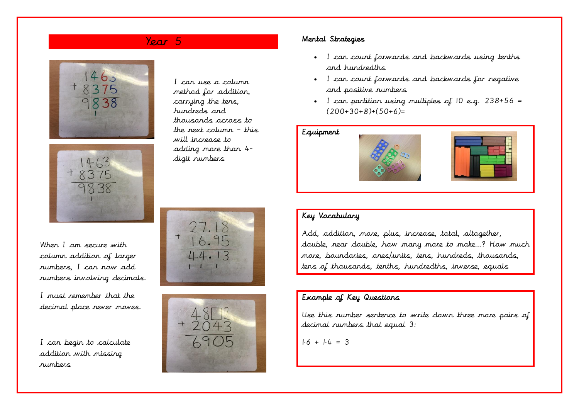# Year 5





I can use a column method for addition, carrying the tens, hundreds and thousands across to the next column – this will increase to adding more than 4 digit numbers

When I am secure with column addition of larger numbers, I can now add numbers involving decimals.

I must remember that the decimal place never moves.

I can begin to calculate addition with missing numbers





#### Mental Strategies

- I can count forwards and backwards using tenths and hundredths
- I can count forwards and backwards for negative and positive numbers
- I can partition using multiples of  $10$  e.g.  $238+56$  =  $(200+30+8)+(50+6)=$

#### Equipment





# Key Vocabulary

Add, addition, more, plus, increase, total, altogether, double, near double, how many more to make…? How much more, boundaries, ones/units, tens, hundreds, thousands, tens of thousands, tenths, hundredths, inverse, equals

# Example of Key Questions

Use this number sentence to write down three more pairs of decimal numbers that equal 3:

 $1.6 + 1.4 = 3$